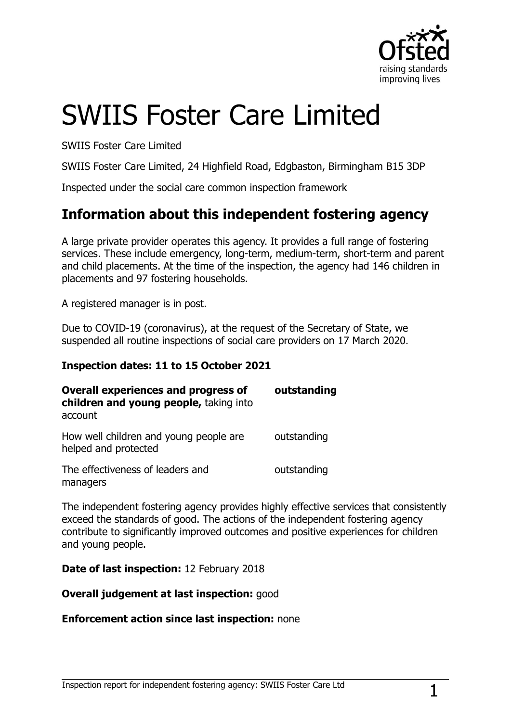

# SWIIS Foster Care Limited

SWIIS Foster Care Limited

SWIIS Foster Care Limited, 24 Highfield Road, Edgbaston, Birmingham B15 3DP

Inspected under the social care common inspection framework

## **Information about this independent fostering agency**

A large private provider operates this agency. It provides a full range of fostering services. These include emergency, long-term, medium-term, short-term and parent and child placements. At the time of the inspection, the agency had 146 children in placements and 97 fostering households.

A registered manager is in post.

Due to COVID-19 (coronavirus), at the request of the Secretary of State, we suspended all routine inspections of social care providers on 17 March 2020.

#### **Inspection dates: 11 to 15 October 2021**

| <b>Overall experiences and progress of</b><br>children and young people, taking into<br>account | outstanding |
|-------------------------------------------------------------------------------------------------|-------------|
| How well children and young people are<br>helped and protected                                  | outstanding |
| The effectiveness of leaders and<br>managers                                                    | outstanding |

The independent fostering agency provides highly effective services that consistently exceed the standards of good. The actions of the independent fostering agency contribute to significantly improved outcomes and positive experiences for children and young people.

**Date of last inspection:** 12 February 2018

#### **Overall judgement at last inspection:** good

#### **Enforcement action since last inspection:** none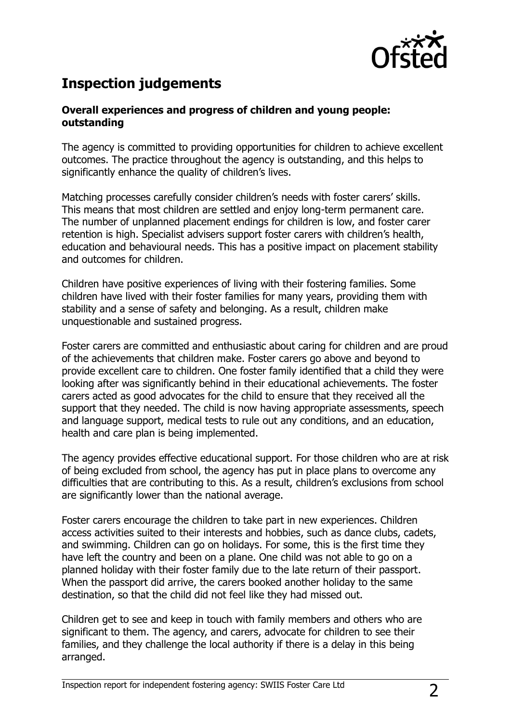

# **Inspection judgements**

#### **Overall experiences and progress of children and young people: outstanding**

The agency is committed to providing opportunities for children to achieve excellent outcomes. The practice throughout the agency is outstanding, and this helps to significantly enhance the quality of children's lives.

Matching processes carefully consider children's needs with foster carers' skills. This means that most children are settled and enjoy long-term permanent care. The number of unplanned placement endings for children is low, and foster carer retention is high. Specialist advisers support foster carers with children's health, education and behavioural needs. This has a positive impact on placement stability and outcomes for children.

Children have positive experiences of living with their fostering families. Some children have lived with their foster families for many years, providing them with stability and a sense of safety and belonging. As a result, children make unquestionable and sustained progress.

Foster carers are committed and enthusiastic about caring for children and are proud of the achievements that children make. Foster carers go above and beyond to provide excellent care to children. One foster family identified that a child they were looking after was significantly behind in their educational achievements. The foster carers acted as good advocates for the child to ensure that they received all the support that they needed. The child is now having appropriate assessments, speech and language support, medical tests to rule out any conditions, and an education, health and care plan is being implemented.

The agency provides effective educational support. For those children who are at risk of being excluded from school, the agency has put in place plans to overcome any difficulties that are contributing to this. As a result, children's exclusions from school are significantly lower than the national average.

Foster carers encourage the children to take part in new experiences. Children access activities suited to their interests and hobbies, such as dance clubs, cadets, and swimming. Children can go on holidays. For some, this is the first time they have left the country and been on a plane. One child was not able to go on a planned holiday with their foster family due to the late return of their passport. When the passport did arrive, the carers booked another holiday to the same destination, so that the child did not feel like they had missed out.

Children get to see and keep in touch with family members and others who are significant to them. The agency, and carers, advocate for children to see their families, and they challenge the local authority if there is a delay in this being arranged.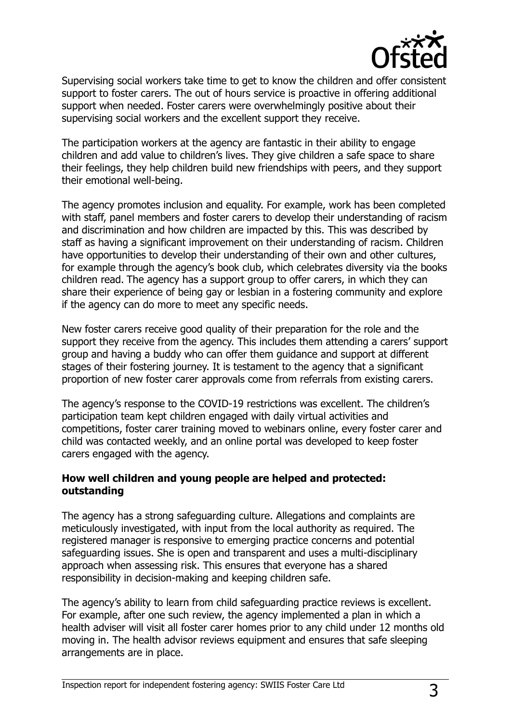

Supervising social workers take time to get to know the children and offer consistent support to foster carers. The out of hours service is proactive in offering additional support when needed. Foster carers were overwhelmingly positive about their supervising social workers and the excellent support they receive.

The participation workers at the agency are fantastic in their ability to engage children and add value to children's lives. They give children a safe space to share their feelings, they help children build new friendships with peers, and they support their emotional well-being.

The agency promotes inclusion and equality. For example, work has been completed with staff, panel members and foster carers to develop their understanding of racism and discrimination and how children are impacted by this. This was described by staff as having a significant improvement on their understanding of racism. Children have opportunities to develop their understanding of their own and other cultures, for example through the agency's book club, which celebrates diversity via the books children read. The agency has a support group to offer carers, in which they can share their experience of being gay or lesbian in a fostering community and explore if the agency can do more to meet any specific needs.

New foster carers receive good quality of their preparation for the role and the support they receive from the agency. This includes them attending a carers' support group and having a buddy who can offer them guidance and support at different stages of their fostering journey. It is testament to the agency that a significant proportion of new foster carer approvals come from referrals from existing carers.

The agency's response to the COVID-19 restrictions was excellent. The children's participation team kept children engaged with daily virtual activities and competitions, foster carer training moved to webinars online, every foster carer and child was contacted weekly, and an online portal was developed to keep foster carers engaged with the agency.

#### **How well children and young people are helped and protected: outstanding**

The agency has a strong safeguarding culture. Allegations and complaints are meticulously investigated, with input from the local authority as required. The registered manager is responsive to emerging practice concerns and potential safeguarding issues. She is open and transparent and uses a multi-disciplinary approach when assessing risk. This ensures that everyone has a shared responsibility in decision-making and keeping children safe.

The agency's ability to learn from child safeguarding practice reviews is excellent. For example, after one such review, the agency implemented a plan in which a health adviser will visit all foster carer homes prior to any child under 12 months old moving in. The health advisor reviews equipment and ensures that safe sleeping arrangements are in place.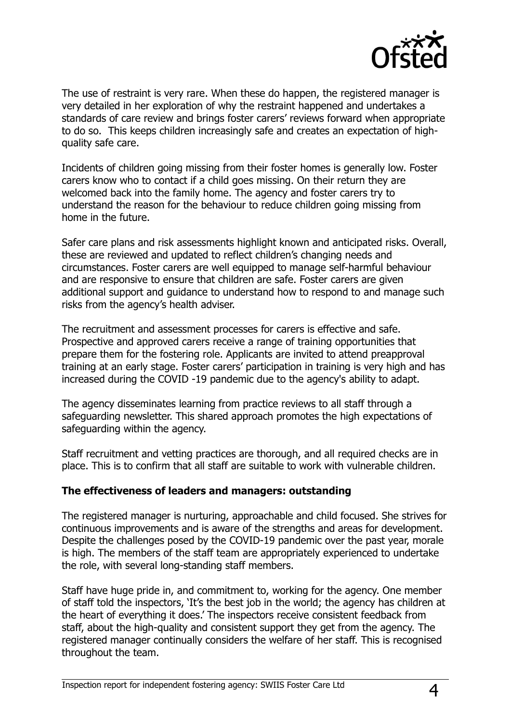

The use of restraint is very rare. When these do happen, the registered manager is very detailed in her exploration of why the restraint happened and undertakes a standards of care review and brings foster carers' reviews forward when appropriate to do so. This keeps children increasingly safe and creates an expectation of highquality safe care.

Incidents of children going missing from their foster homes is generally low. Foster carers know who to contact if a child goes missing. On their return they are welcomed back into the family home. The agency and foster carers try to understand the reason for the behaviour to reduce children going missing from home in the future.

Safer care plans and risk assessments highlight known and anticipated risks. Overall, these are reviewed and updated to reflect children's changing needs and circumstances. Foster carers are well equipped to manage self-harmful behaviour and are responsive to ensure that children are safe. Foster carers are given additional support and guidance to understand how to respond to and manage such risks from the agency's health adviser.

The recruitment and assessment processes for carers is effective and safe. Prospective and approved carers receive a range of training opportunities that prepare them for the fostering role. Applicants are invited to attend preapproval training at an early stage. Foster carers' participation in training is very high and has increased during the COVID -19 pandemic due to the agency's ability to adapt.

The agency disseminates learning from practice reviews to all staff through a safeguarding newsletter. This shared approach promotes the high expectations of safeguarding within the agency.

Staff recruitment and vetting practices are thorough, and all required checks are in place. This is to confirm that all staff are suitable to work with vulnerable children.

#### **The effectiveness of leaders and managers: outstanding**

The registered manager is nurturing, approachable and child focused. She strives for continuous improvements and is aware of the strengths and areas for development. Despite the challenges posed by the COVID-19 pandemic over the past year, morale is high. The members of the staff team are appropriately experienced to undertake the role, with several long-standing staff members.

Staff have huge pride in, and commitment to, working for the agency. One member of staff told the inspectors, 'It's the best job in the world; the agency has children at the heart of everything it does.' The inspectors receive consistent feedback from staff, about the high-quality and consistent support they get from the agency. The registered manager continually considers the welfare of her staff. This is recognised throughout the team.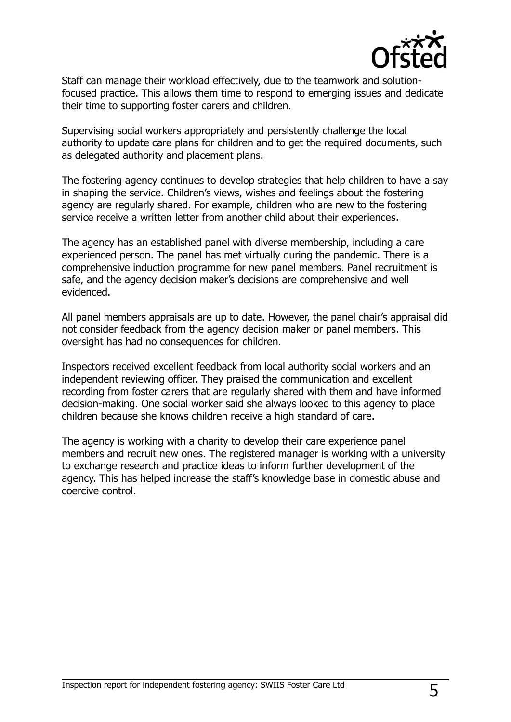

Staff can manage their workload effectively, due to the teamwork and solutionfocused practice. This allows them time to respond to emerging issues and dedicate their time to supporting foster carers and children.

Supervising social workers appropriately and persistently challenge the local authority to update care plans for children and to get the required documents, such as delegated authority and placement plans.

The fostering agency continues to develop strategies that help children to have a say in shaping the service. Children's views, wishes and feelings about the fostering agency are regularly shared. For example, children who are new to the fostering service receive a written letter from another child about their experiences.

The agency has an established panel with diverse membership, including a care experienced person. The panel has met virtually during the pandemic. There is a comprehensive induction programme for new panel members. Panel recruitment is safe, and the agency decision maker's decisions are comprehensive and well evidenced.

All panel members appraisals are up to date. However, the panel chair's appraisal did not consider feedback from the agency decision maker or panel members. This oversight has had no consequences for children.

Inspectors received excellent feedback from local authority social workers and an independent reviewing officer. They praised the communication and excellent recording from foster carers that are regularly shared with them and have informed decision-making. One social worker said she always looked to this agency to place children because she knows children receive a high standard of care.

The agency is working with a charity to develop their care experience panel members and recruit new ones. The registered manager is working with a university to exchange research and practice ideas to inform further development of the agency. This has helped increase the staff's knowledge base in domestic abuse and coercive control.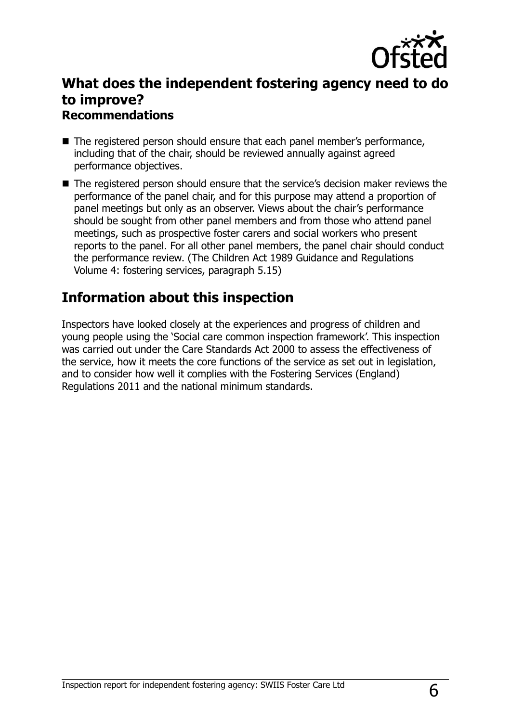

## **What does the independent fostering agency need to do to improve? Recommendations**

- The registered person should ensure that each panel member's performance, including that of the chair, should be reviewed annually against agreed performance objectives.
- The registered person should ensure that the service's decision maker reviews the performance of the panel chair, and for this purpose may attend a proportion of panel meetings but only as an observer. Views about the chair's performance should be sought from other panel members and from those who attend panel meetings, such as prospective foster carers and social workers who present reports to the panel. For all other panel members, the panel chair should conduct the performance review. (The Children Act 1989 Guidance and Regulations Volume 4: fostering services, paragraph 5.15)

## **Information about this inspection**

Inspectors have looked closely at the experiences and progress of children and young people using the 'Social care common inspection framework'. This inspection was carried out under the Care Standards Act 2000 to assess the effectiveness of the service, how it meets the core functions of the service as set out in legislation, and to consider how well it complies with the Fostering Services (England) Regulations 2011 and the national minimum standards.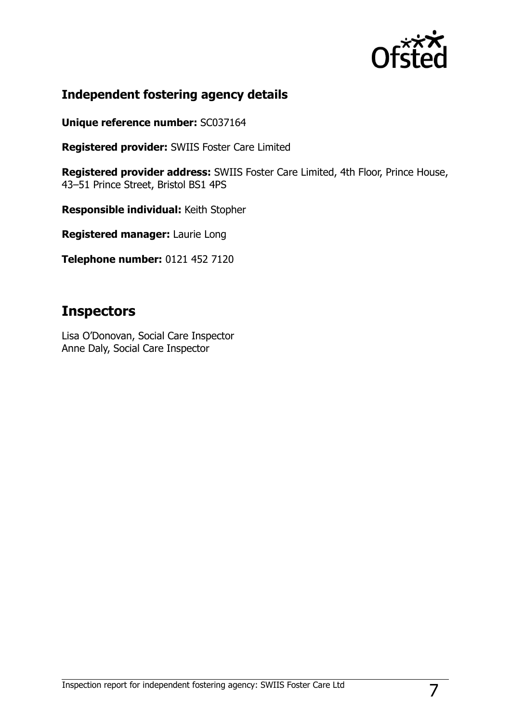

### **Independent fostering agency details**

**Unique reference number:** SC037164

**Registered provider:** SWIIS Foster Care Limited

**Registered provider address:** SWIIS Foster Care Limited, 4th Floor, Prince House, 43–51 Prince Street, Bristol BS1 4PS

**Responsible individual:** Keith Stopher

**Registered manager:** Laurie Long

**Telephone number:** 0121 452 7120

# **Inspectors**

Lisa O'Donovan, Social Care Inspector Anne Daly, Social Care Inspector